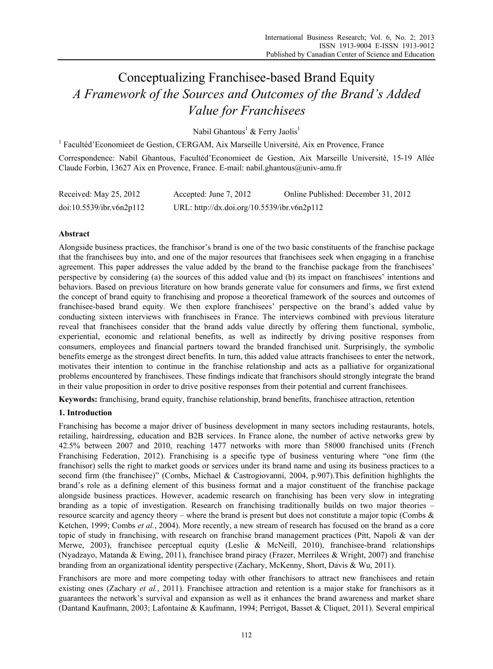# Conceptualizing Franchisee-based Brand Equity *A Framework of the Sources and Outcomes of the Brand's Added Value for Franchisees*

Nabil Ghantous<sup>1</sup> & Ferry Jaolis<sup>1</sup>

<sup>1</sup> Facultéd'Economieet de Gestion, CERGAM, Aix Marseille Université, Aix en Provence, France Correspondence: Nabil Ghantous, Facultéd'Economieet de Gestion, Aix Marseille Université, 15-19 Allée

Claude Forbin, 13627 Aix en Provence, France. E-mail: nabil.ghantous@univ-amu.fr

| Received: May 25, 2012   | Accepted: June 7, 2012                      | Online Published: December 31, 2012 |
|--------------------------|---------------------------------------------|-------------------------------------|
| doi:10.5539/ibr.v6n2p112 | URL: http://dx.doi.org/10.5539/ibr.v6n2p112 |                                     |

# **Abstract**

Alongside business practices, the franchisor's brand is one of the two basic constituents of the franchise package that the franchisees buy into, and one of the major resources that franchisees seek when engaging in a franchise agreement. This paper addresses the value added by the brand to the franchise package from the franchisees' perspective by considering (a) the sources of this added value and (b) its impact on franchisees' intentions and behaviors. Based on previous literature on how brands generate value for consumers and firms, we first extend the concept of brand equity to franchising and propose a theoretical framework of the sources and outcomes of franchisee-based brand equity. We then explore franchisees' perspective on the brand's added value by conducting sixteen interviews with franchisees in France. The interviews combined with previous literature reveal that franchisees consider that the brand adds value directly by offering them functional, symbolic, experiential, economic and relational benefits, as well as indirectly by driving positive responses from consumers, employees and financial partners toward the branded franchised unit. Surprisingly, the symbolic benefits emerge as the strongest direct benefits. In turn, this added value attracts franchisees to enter the network, motivates their intention to continue in the franchise relationship and acts as a palliative for organizational problems encountered by franchisees. These findings indicate that franchisors should strongly integrate the brand in their value proposition in order to drive positive responses from their potential and current franchisees.

**Keywords:** franchising, brand equity, franchise relationship, brand benefits, franchisee attraction, retention

# **1. Introduction**

Franchising has become a major driver of business development in many sectors including restaurants, hotels, retailing, hairdressing, education and B2B services. In France alone, the number of active networks grew by 42.5% between 2007 and 2010, reaching 1477 networks with more than 58000 franchised units (French Franchising Federation, 2012). Franchising is a specific type of business venturing where "one firm (the franchisor) sells the right to market goods or services under its brand name and using its business practices to a second firm (the franchisee)" (Combs, Michael & Castrogiovanni, 2004, p.907).This definition highlights the brand's role as a defining element of this business format and a major constituent of the franchise package alongside business practices. However, academic research on franchising has been very slow in integrating branding as a topic of investigation. Research on franchising traditionally builds on two major theories – resource scarcity and agency theory – where the brand is present but does not constitute a major topic (Combs & Ketchen, 1999; Combs *et al.*, 2004). More recently, a new stream of research has focused on the brand as a core topic of study in franchising, with research on franchise brand management practices (Pitt, Napoli & van der Merwe, 2003), franchisee perceptual equity (Leslie & McNeill, 2010), franchisee-brand relationships (Nyadzayo, Matanda & Ewing, 2011), franchisee brand piracy (Frazer, Merrilees & Wright, 2007) and franchise branding from an organizational identity perspective (Zachary, McKenny, Short, Davis & Wu, 2011).

Franchisors are more and more competing today with other franchisors to attract new franchisees and retain existing ones (Zachary *et al.*, 2011). Franchisee attraction and retention is a major stake for franchisors as it guarantees the network's survival and expansion as well as it enhances the brand awareness and market share (Dantand Kaufmann, 2003; Lafontaine & Kaufmann, 1994; Perrigot, Basset & Cliquet, 2011). Several empirical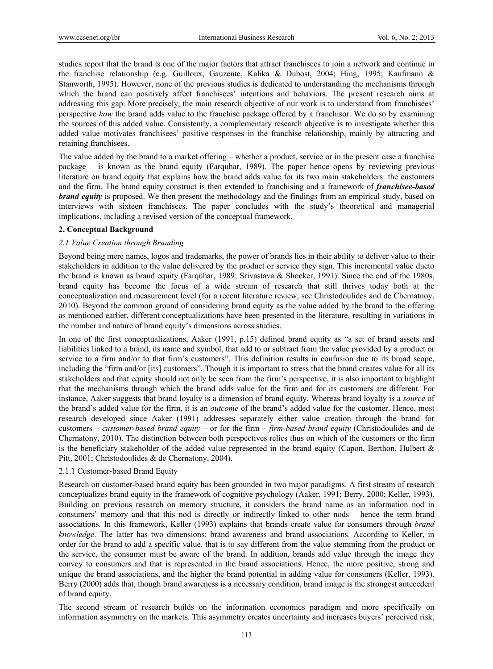studies report that the brand is one of the major factors that attract franchisees to join a network and continue in the franchise relationship (e.g. Guilloux, Gauzente, Kalika & Dubost, 2004; Hing, 1995; Kaufmann & Stanworth, 1995). However, none of the previous studies is dedicated to understanding the mechanisms through which the brand can positively affect franchisees' intentions and behaviors. The present research aims at addressing this gap. More precisely, the main research objective of our work is to understand from franchisees' perspective *how* the brand adds value to the franchise package offered by a franchisor. We do so by examining the sources of this added value. Consistently, a complementary research objective is to investigate whether this added value motivates franchisees' positive responses in the franchise relationship, mainly by attracting and retaining franchisees.

The value added by the brand to a market offering – whether a product, service or in the present case a franchise package – is known as the brand equity (Farquhar, 1989). The paper hence opens by reviewing previous literature on brand equity that explains how the brand adds value for its two main stakeholders: the customers and the firm. The brand equity construct is then extended to franchising and a framework of *franchisee-based brand equity* is proposed. We then present the methodology and the findings from an empirical study, based on interviews with sixteen franchisees. The paper concludes with the study's theoretical and managerial implications, including a revised version of the conceptual framework.

## **2. Conceptual Background**

## *2.1 Value Creation through Branding*

Beyond being mere names, logos and trademarks, the power of brands lies in their ability to deliver value to their stakeholders in addition to the value delivered by the product or service they sign. This incremental value dueto the brand is known as brand equity (Farquhar, 1989; Srivastava & Shocker, 1991). Since the end of the 1980s, brand equity has become the focus of a wide stream of research that still thrives today both at the conceptualization and measurement level (for a recent literature review, see Christodoulides and de Chernatnoy, 2010). Beyond the common ground of considering brand equity as the value added by the brand to the offering as mentioned earlier, different conceptualizations have been presented in the literature, resulting in variations in the number and nature of brand equity's dimensions across studies.

In one of the first conceptualizations, Aaker (1991, p.15) defined brand equity as "a set of brand assets and liabilities linked to a brand, its name and symbol, that add to or subtract from the value provided by a product or service to a firm and/or to that firm's customers". This definition results in confusion due to its broad scope, including the "firm and/or [its] customers". Though it is important to stress that the brand creates value for all its stakeholders and that equity should not only be seen from the firm's perspective, it is also important to highlight that the mechanisms through which the brand adds value for the firm and for its customers are different. For instance, Aaker suggests that brand loyalty is a dimension of brand equity. Whereas brand loyalty is a *source* of the brand's added value for the firm, it is an *outcome* of the brand's added value for the customer. Hence, most research developed since Aaker (1991) addresses separately either value creation through the brand for customers – *customer-based brand equity* – or for the firm – *firm-based brand equity* (Christodoulides and de Chernatony, 2010). The distinction between both perspectives relies thus on which of the customers or the firm is the beneficiary stakeholder of the added value represented in the brand equity (Capon, Berthon, Hulbert  $\&$ Pitt, 2001; Christodoulides & de Chernatony, 2004).

## 2.1.1 Customer-based Brand Equity

Research on customer-based brand equity has been grounded in two major paradigms. A first stream of research conceptualizes brand equity in the framework of cognitive psychology (Aaker, 1991; Berry, 2000; Keller, 1993). Building on previous research on memory structure, it considers the brand name as an information nod in consumers' memory and that this nod is directly or indirectly linked to other nods – hence the term brand associations. In this framework, Keller (1993) explains that brands create value for consumers through *brand knowledge*. The latter has two dimensions: brand awareness and brand associations. According to Keller, in order for the brand to add a specific value, that is to say different from the value stemming from the product or the service, the consumer must be aware of the brand. In addition, brands add value through the image they convey to consumers and that is represented in the brand associations. Hence, the more positive, strong and unique the brand associations, and the higher the brand potential in adding value for consumers (Keller, 1993). Berry (2000) adds that, though brand awareness is a necessary condition, brand image is the strongest antecedent of brand equity.

The second stream of research builds on the information economics paradigm and more specifically on information asymmetry on the markets. This asymmetry creates uncertainty and increases buyers' perceived risk,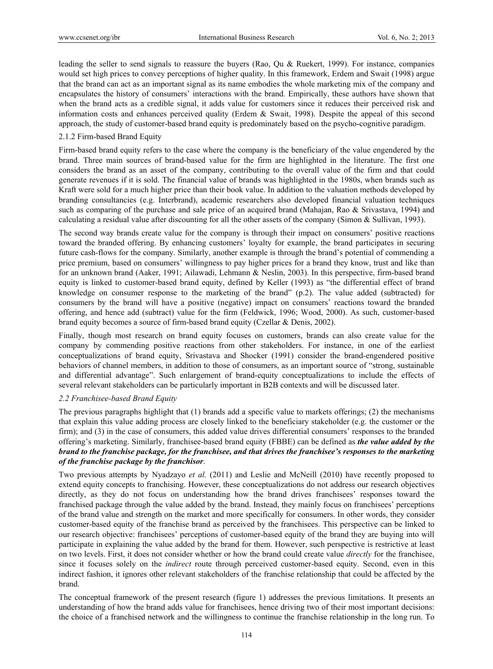leading the seller to send signals to reassure the buyers (Rao, Qu & Ruekert, 1999). For instance, companies would set high prices to convey perceptions of higher quality. In this framework, Erdem and Swait (1998) argue that the brand can act as an important signal as its name embodies the whole marketing mix of the company and encapsulates the history of consumers' interactions with the brand. Empirically, these authors have shown that when the brand acts as a credible signal, it adds value for customers since it reduces their perceived risk and information costs and enhances perceived quality (Erdem & Swait, 1998). Despite the appeal of this second approach, the study of customer-based brand equity is predominately based on the psycho-cognitive paradigm.

## 2.1.2 Firm-based Brand Equity

Firm-based brand equity refers to the case where the company is the beneficiary of the value engendered by the brand. Three main sources of brand-based value for the firm are highlighted in the literature. The first one considers the brand as an asset of the company, contributing to the overall value of the firm and that could generate revenues if it is sold. The financial value of brands was highlighted in the 1980s, when brands such as Kraft were sold for a much higher price than their book value. In addition to the valuation methods developed by branding consultancies (e.g. Interbrand), academic researchers also developed financial valuation techniques such as comparing of the purchase and sale price of an acquired brand (Mahajan, Rao & Srivastava, 1994) and calculating a residual value after discounting for all the other assets of the company (Simon & Sullivan, 1993).

The second way brands create value for the company is through their impact on consumers' positive reactions toward the branded offering. By enhancing customers' loyalty for example, the brand participates in securing future cash-flows for the company. Similarly, another example is through the brand's potential of commending a price premium, based on consumers' willingness to pay higher prices for a brand they know, trust and like than for an unknown brand (Aaker, 1991; Ailawadi, Lehmann & Neslin, 2003). In this perspective, firm-based brand equity is linked to customer-based brand equity, defined by Keller (1993) as "the differential effect of brand knowledge on consumer response to the marketing of the brand" (p.2). The value added (subtracted) for consumers by the brand will have a positive (negative) impact on consumers' reactions toward the branded offering, and hence add (subtract) value for the firm (Feldwick, 1996; Wood, 2000). As such, customer-based brand equity becomes a source of firm-based brand equity (Czellar & Denis, 2002).

Finally, though most research on brand equity focuses on customers, brands can also create value for the company by commending positive reactions from other stakeholders. For instance, in one of the earliest conceptualizations of brand equity, Srivastava and Shocker (1991) consider the brand-engendered positive behaviors of channel members, in addition to those of consumers, as an important source of "strong, sustainable and differential advantage". Such enlargement of brand-equity conceptualizations to include the effects of several relevant stakeholders can be particularly important in B2B contexts and will be discussed later.

## *2.2 Franchisee-based Brand Equity*

The previous paragraphs highlight that (1) brands add a specific value to markets offerings; (2) the mechanisms that explain this value adding process are closely linked to the beneficiary stakeholder (e.g. the customer or the firm); and (3) in the case of consumers, this added value drives differential consumers' responses to the branded offering's marketing. Similarly, franchisee-based brand equity (FBBE) can be defined as *the value added by the brand to the franchise package, for the franchisee, and that drives the franchisee's responses to the marketing of the franchise package by the franchisor*.

Two previous attempts by Nyadzayo *et al.* (2011) and Leslie and McNeill (2010) have recently proposed to extend equity concepts to franchising. However, these conceptualizations do not address our research objectives directly, as they do not focus on understanding how the brand drives franchisees' responses toward the franchised package through the value added by the brand. Instead, they mainly focus on franchisees' perceptions of the brand value and strength on the market and more specifically for consumers. In other words, they consider customer-based equity of the franchise brand as perceived by the franchisees. This perspective can be linked to our research objective: franchisees' perceptions of customer-based equity of the brand they are buying into will participate in explaining the value added by the brand for them. However, such perspective is restrictive at least on two levels. First, it does not consider whether or how the brand could create value *directly* for the franchisee, since it focuses solely on the *indirect* route through perceived customer-based equity. Second, even in this indirect fashion, it ignores other relevant stakeholders of the franchise relationship that could be affected by the brand.

The conceptual framework of the present research (figure 1) addresses the previous limitations. It presents an understanding of how the brand adds value for franchisees, hence driving two of their most important decisions: the choice of a franchised network and the willingness to continue the franchise relationship in the long run. To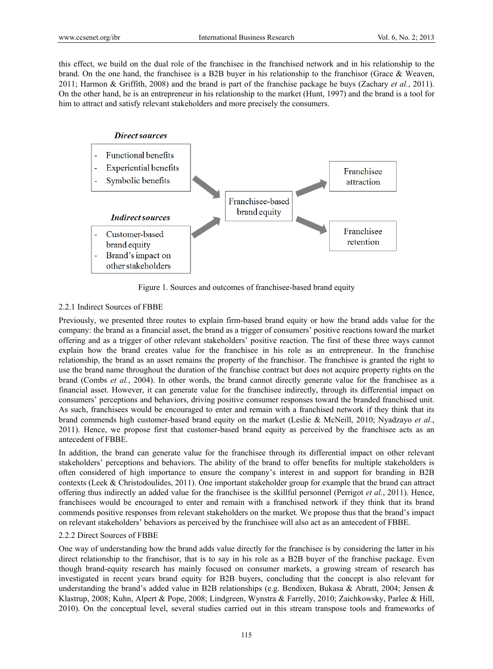this effect, we build on the dual role of the franchisee in the franchised network and in his relationship to the brand. On the one hand, the franchisee is a B2B buyer in his relationship to the franchisor (Grace & Weaven, 2011; Harmon & Griffith, 2008) and the brand is part of the franchise package he buys (Zachary *et al.*, 2011). On the other hand, he is an entrepreneur in his relationship to the market (Hunt, 1997) and the brand is a tool for him to attract and satisfy relevant stakeholders and more precisely the consumers.



Figure 1. Sources and outcomes of franchisee-based brand equity

## 2.2.1 Indirect Sources of FBBE

Previously, we presented three routes to explain firm-based brand equity or how the brand adds value for the company: the brand as a financial asset, the brand as a trigger of consumers' positive reactions toward the market offering and as a trigger of other relevant stakeholders' positive reaction. The first of these three ways cannot explain how the brand creates value for the franchisee in his role as an entrepreneur. In the franchise relationship, the brand as an asset remains the property of the franchisor. The franchisee is granted the right to use the brand name throughout the duration of the franchise contract but does not acquire property rights on the brand (Combs *et al.*, 2004). In other words, the brand cannot directly generate value for the franchisee as a financial asset. However, it can generate value for the franchisee indirectly, through its differential impact on consumers' perceptions and behaviors, driving positive consumer responses toward the branded franchised unit. As such, franchisees would be encouraged to enter and remain with a franchised network if they think that its brand commends high customer-based brand equity on the market (Leslie & McNeill, 2010; Nyadzayo *et al.*, 2011). Hence, we propose first that customer-based brand equity as perceived by the franchisee acts as an antecedent of FBBE.

In addition, the brand can generate value for the franchisee through its differential impact on other relevant stakeholders' perceptions and behaviors. The ability of the brand to offer benefits for multiple stakeholders is often considered of high importance to ensure the company's interest in and support for branding in B2B contexts (Leek & Christodoulides, 2011). One important stakeholder group for example that the brand can attract offering thus indirectly an added value for the franchisee is the skillful personnel (Perrigot *et al.*, 2011). Hence, franchisees would be encouraged to enter and remain with a franchised network if they think that its brand commends positive responses from relevant stakeholders on the market. We propose thus that the brand's impact on relevant stakeholders' behaviors as perceived by the franchisee will also act as an antecedent of FBBE.

## 2.2.2 Direct Sources of FBBE

One way of understanding how the brand adds value directly for the franchisee is by considering the latter in his direct relationship to the franchisor, that is to say in his role as a B2B buyer of the franchise package. Even though brand-equity research has mainly focused on consumer markets, a growing stream of research has investigated in recent years brand equity for B2B buyers, concluding that the concept is also relevant for understanding the brand's added value in B2B relationships (e.g. Bendixen, Bukasa & Abratt, 2004; Jensen & Klastrup, 2008; Kuhn, Alpert & Pope, 2008; Lindgreen, Wynstra & Farrelly, 2010; Zaichkowsky, Parlee & Hill, 2010). On the conceptual level, several studies carried out in this stream transpose tools and frameworks of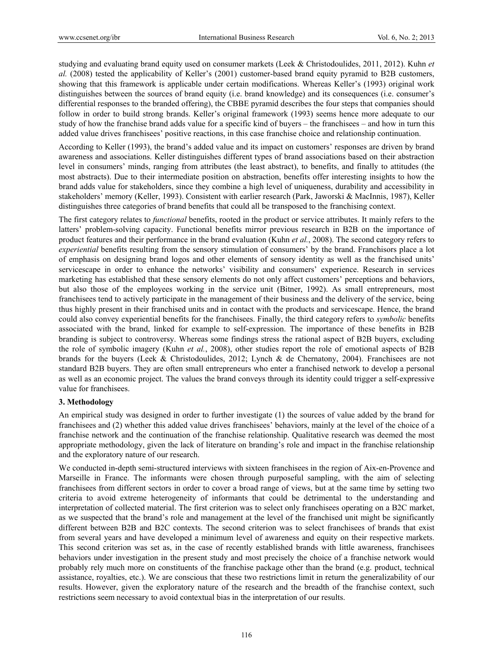studying and evaluating brand equity used on consumer markets (Leek & Christodoulides, 2011, 2012). Kuhn *et al.* (2008) tested the applicability of Keller's (2001) customer-based brand equity pyramid to B2B customers, showing that this framework is applicable under certain modifications. Whereas Keller's (1993) original work distinguishes between the sources of brand equity (i.e. brand knowledge) and its consequences (i.e. consumer's differential responses to the branded offering), the CBBE pyramid describes the four steps that companies should follow in order to build strong brands. Keller's original framework (1993) seems hence more adequate to our study of how the franchise brand adds value for a specific kind of buyers – the franchisees – and how in turn this added value drives franchisees' positive reactions, in this case franchise choice and relationship continuation.

According to Keller (1993), the brand's added value and its impact on customers' responses are driven by brand awareness and associations. Keller distinguishes different types of brand associations based on their abstraction level in consumers' minds, ranging from attributes (the least abstract), to benefits, and finally to attitudes (the most abstracts). Due to their intermediate position on abstraction, benefits offer interesting insights to how the brand adds value for stakeholders, since they combine a high level of uniqueness, durability and accessibility in stakeholders' memory (Keller, 1993). Consistent with earlier research (Park, Jaworski & MacInnis, 1987), Keller distinguishes three categories of brand benefits that could all be transposed to the franchising context.

The first category relates to *functional* benefits, rooted in the product or service attributes. It mainly refers to the latters' problem-solving capacity. Functional benefits mirror previous research in B2B on the importance of product features and their performance in the brand evaluation (Kuhn *et al.*, 2008). The second category refers to *experiential* benefits resulting from the sensory stimulation of consumers' by the brand. Franchisors place a lot of emphasis on designing brand logos and other elements of sensory identity as well as the franchised units' servicescape in order to enhance the networks' visibility and consumers' experience. Research in services marketing has established that these sensory elements do not only affect customers' perceptions and behaviors, but also those of the employees working in the service unit (Bitner, 1992). As small entrepreneurs, most franchisees tend to actively participate in the management of their business and the delivery of the service, being thus highly present in their franchised units and in contact with the products and servicescape. Hence, the brand could also convey experiential benefits for the franchisees. Finally, the third category refers to *symbolic* benefits associated with the brand, linked for example to self-expression. The importance of these benefits in B2B branding is subject to controversy. Whereas some findings stress the rational aspect of B2B buyers, excluding the role of symbolic imagery (Kuhn *et al.*, 2008), other studies report the role of emotional aspects of B2B brands for the buyers (Leek & Christodoulides, 2012; Lynch & de Chernatony, 2004). Franchisees are not standard B2B buyers. They are often small entrepreneurs who enter a franchised network to develop a personal as well as an economic project. The values the brand conveys through its identity could trigger a self-expressive value for franchisees.

# **3. Methodology**

An empirical study was designed in order to further investigate (1) the sources of value added by the brand for franchisees and (2) whether this added value drives franchisees' behaviors, mainly at the level of the choice of a franchise network and the continuation of the franchise relationship. Qualitative research was deemed the most appropriate methodology, given the lack of literature on branding's role and impact in the franchise relationship and the exploratory nature of our research.

We conducted in-depth semi-structured interviews with sixteen franchisees in the region of Aix-en-Provence and Marseille in France. The informants were chosen through purposeful sampling, with the aim of selecting franchisees from different sectors in order to cover a broad range of views, but at the same time by setting two criteria to avoid extreme heterogeneity of informants that could be detrimental to the understanding and interpretation of collected material. The first criterion was to select only franchisees operating on a B2C market, as we suspected that the brand's role and management at the level of the franchised unit might be significantly different between B2B and B2C contexts. The second criterion was to select franchisees of brands that exist from several years and have developed a minimum level of awareness and equity on their respective markets. This second criterion was set as, in the case of recently established brands with little awareness, franchisees behaviors under investigation in the present study and most precisely the choice of a franchise network would probably rely much more on constituents of the franchise package other than the brand (e.g. product, technical assistance, royalties, etc.). We are conscious that these two restrictions limit in return the generalizability of our results. However, given the exploratory nature of the research and the breadth of the franchise context, such restrictions seem necessary to avoid contextual bias in the interpretation of our results.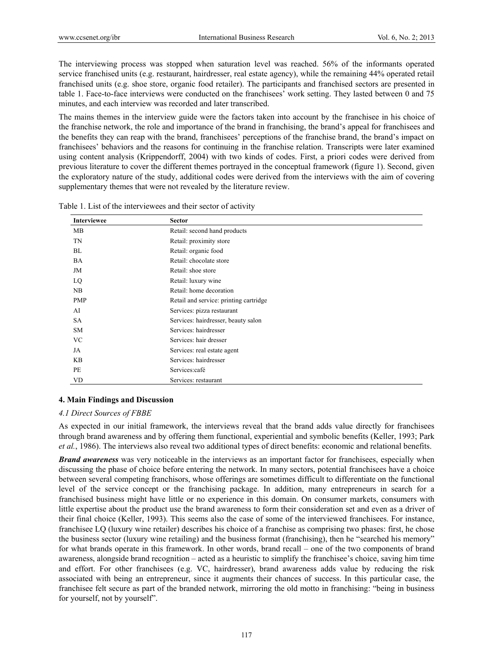The interviewing process was stopped when saturation level was reached. 56% of the informants operated service franchised units (e.g. restaurant, hairdresser, real estate agency), while the remaining 44% operated retail franchised units (e.g. shoe store, organic food retailer). The participants and franchised sectors are presented in table 1. Face-to-face interviews were conducted on the franchisees' work setting. They lasted between 0 and 75 minutes, and each interview was recorded and later transcribed.

The mains themes in the interview guide were the factors taken into account by the franchisee in his choice of the franchise network, the role and importance of the brand in franchising, the brand's appeal for franchisees and the benefits they can reap with the brand, franchisees' perceptions of the franchise brand, the brand's impact on franchisees' behaviors and the reasons for continuing in the franchise relation. Transcripts were later examined using content analysis (Krippendorff, 2004) with two kinds of codes. First, a priori codes were derived from previous literature to cover the different themes portrayed in the conceptual framework (figure 1). Second, given the exploratory nature of the study, additional codes were derived from the interviews with the aim of covering supplementary themes that were not revealed by the literature review.

| <b>Interviewee</b> | <b>Sector</b>                          |
|--------------------|----------------------------------------|
| MB                 | Retail: second hand products           |
| TN                 | Retail: proximity store                |
| BL                 | Retail: organic food                   |
| <b>BA</b>          | Retail: chocolate store                |
| JM                 | Retail: shoe store                     |
| LQ                 | Retail: luxury wine                    |
| NB                 | Retail: home decoration                |
| <b>PMP</b>         | Retail and service: printing cartridge |
| AI                 | Services: pizza restaurant             |
| <b>SA</b>          | Services: hairdresser, beauty salon    |
| <b>SM</b>          | Services: hairdresser                  |
| <b>VC</b>          | Services: hair dresser                 |
| JA                 | Services: real estate agent            |
| <b>KB</b>          | Services: hairdresser                  |
| PE                 | Services:café                          |
| <b>VD</b>          | Services: restaurant                   |

Table 1. List of the interviewees and their sector of activity

# **4. Main Findings and Discussion**

## *4.1 Direct Sources of FBBE*

As expected in our initial framework, the interviews reveal that the brand adds value directly for franchisees through brand awareness and by offering them functional, experiential and symbolic benefits (Keller, 1993; Park *et al.*, 1986). The interviews also reveal two additional types of direct benefits: economic and relational benefits.

*Brand awareness* was very noticeable in the interviews as an important factor for franchisees, especially when discussing the phase of choice before entering the network. In many sectors, potential franchisees have a choice between several competing franchisors, whose offerings are sometimes difficult to differentiate on the functional level of the service concept or the franchising package. In addition, many entrepreneurs in search for a franchised business might have little or no experience in this domain. On consumer markets, consumers with little expertise about the product use the brand awareness to form their consideration set and even as a driver of their final choice (Keller, 1993). This seems also the case of some of the interviewed franchisees. For instance, franchisee LQ (luxury wine retailer) describes his choice of a franchise as comprising two phases: first, he chose the business sector (luxury wine retailing) and the business format (franchising), then he "searched his memory" for what brands operate in this framework. In other words, brand recall – one of the two components of brand awareness, alongside brand recognition – acted as a heuristic to simplify the franchisee's choice, saving him time and effort. For other franchisees (e.g. VC, hairdresser), brand awareness adds value by reducing the risk associated with being an entrepreneur, since it augments their chances of success. In this particular case, the franchisee felt secure as part of the branded network, mirroring the old motto in franchising: "being in business for yourself, not by yourself".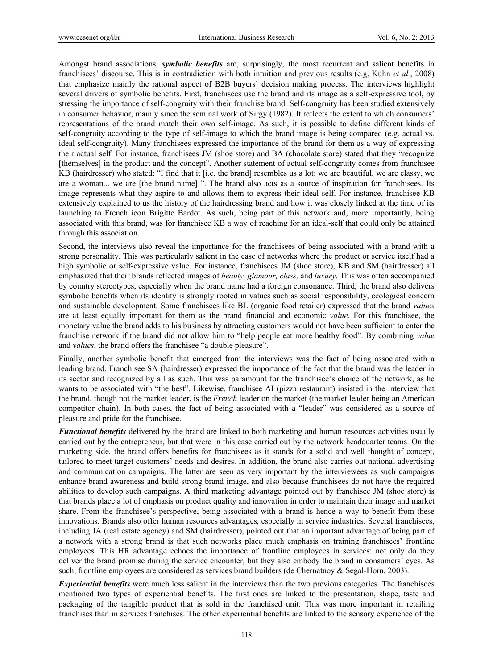Amongst brand associations, *symbolic benefits* are, surprisingly, the most recurrent and salient benefits in franchisees' discourse. This is in contradiction with both intuition and previous results (e.g. Kuhn *et al.*, 2008) that emphasize mainly the rational aspect of B2B buyers' decision making process. The interviews highlight several drivers of symbolic benefits. First, franchisees use the brand and its image as a self-expressive tool, by stressing the importance of self-congruity with their franchise brand. Self-congruity has been studied extensively in consumer behavior, mainly since the seminal work of Sirgy (1982). It reflects the extent to which consumers' representations of the brand match their own self-image. As such, it is possible to define different kinds of self-congruity according to the type of self-image to which the brand image is being compared (e.g. actual vs. ideal self-congruity). Many franchisees expressed the importance of the brand for them as a way of expressing their actual self. For instance, franchisees JM (shoe store) and BA (chocolate store) stated that they "recognize [themselves] in the product and the concept". Another statement of actual self-congruity comes from franchisee KB (hairdresser) who stated: "I find that it [i.e. the brand] resembles us a lot: we are beautiful, we are classy, we are a woman... we are [the brand name]!". The brand also acts as a source of inspiration for franchisees. Its image represents what they aspire to and allows them to express their ideal self. For instance, franchisee KB extensively explained to us the history of the hairdressing brand and how it was closely linked at the time of its launching to French icon Brigitte Bardot. As such, being part of this network and, more importantly, being associated with this brand, was for franchisee KB a way of reaching for an ideal-self that could only be attained through this association.

Second, the interviews also reveal the importance for the franchisees of being associated with a brand with a strong personality. This was particularly salient in the case of networks where the product or service itself had a high symbolic or self-expressive value. For instance, franchisees JM (shoe store), KB and SM (hairdresser) all emphasized that their brands reflected images of *beauty, glamour, class,* and *luxury*. This was often accompanied by country stereotypes, especially when the brand name had a foreign consonance. Third, the brand also delivers symbolic benefits when its identity is strongly rooted in values such as social responsibility, ecological concern and sustainable development. Some franchisees like BL (organic food retailer) expressed that the brand *values* are at least equally important for them as the brand financial and economic *value*. For this franchisee, the monetary value the brand adds to his business by attracting customers would not have been sufficient to enter the franchise network if the brand did not allow him to "help people eat more healthy food". By combining *value*  and *values*, the brand offers the franchisee "a double pleasure".

Finally, another symbolic benefit that emerged from the interviews was the fact of being associated with a leading brand. Franchisee SA (hairdresser) expressed the importance of the fact that the brand was the leader in its sector and recognized by all as such. This was paramount for the franchisee's choice of the network, as he wants to be associated with "the best". Likewise, franchisee AI (pizza restaurant) insisted in the interview that the brand, though not the market leader, is the *French* leader on the market (the market leader being an American competitor chain). In both cases, the fact of being associated with a "leader" was considered as a source of pleasure and pride for the franchisee.

*Functional benefits* delivered by the brand are linked to both marketing and human resources activities usually carried out by the entrepreneur, but that were in this case carried out by the network headquarter teams. On the marketing side, the brand offers benefits for franchisees as it stands for a solid and well thought of concept, tailored to meet target customers' needs and desires. In addition, the brand also carries out national advertising and communication campaigns. The latter are seen as very important by the interviewees as such campaigns enhance brand awareness and build strong brand image, and also because franchisees do not have the required abilities to develop such campaigns. A third marketing advantage pointed out by franchisee JM (shoe store) is that brands place a lot of emphasis on product quality and innovation in order to maintain their image and market share. From the franchisee's perspective, being associated with a brand is hence a way to benefit from these innovations. Brands also offer human resources advantages, especially in service industries. Several franchisees, including JA (real estate agency) and SM (hairdresser), pointed out that an important advantage of being part of a network with a strong brand is that such networks place much emphasis on training franchisees' frontline employees. This HR advantage echoes the importance of frontline employees in services: not only do they deliver the brand promise during the service encounter, but they also embody the brand in consumers' eyes. As such, frontline employees are considered as services brand builders (de Chernatnoy & Segal-Horn, 2003).

*Experiential benefits* were much less salient in the interviews than the two previous categories. The franchisees mentioned two types of experiential benefits. The first ones are linked to the presentation, shape, taste and packaging of the tangible product that is sold in the franchised unit. This was more important in retailing franchises than in services franchises. The other experiential benefits are linked to the sensory experience of the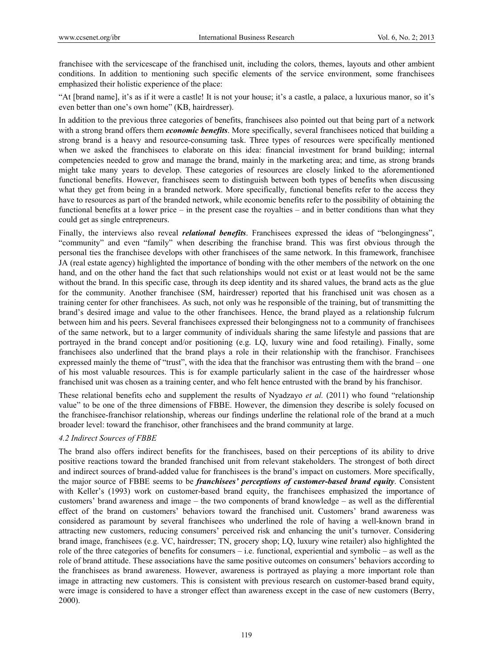franchisee with the servicescape of the franchised unit, including the colors, themes, layouts and other ambient conditions. In addition to mentioning such specific elements of the service environment, some franchisees emphasized their holistic experience of the place:

"At [brand name], it's as if it were a castle! It is not your house; it's a castle, a palace, a luxurious manor, so it's even better than one's own home" (KB, hairdresser).

In addition to the previous three categories of benefits, franchisees also pointed out that being part of a network with a strong brand offers them *economic benefits*. More specifically, several franchisees noticed that building a strong brand is a heavy and resource-consuming task. Three types of resources were specifically mentioned when we asked the franchisees to elaborate on this idea: financial investment for brand building; internal competencies needed to grow and manage the brand, mainly in the marketing area; and time, as strong brands might take many years to develop. These categories of resources are closely linked to the aforementioned functional benefits. However, franchisees seem to distinguish between both types of benefits when discussing what they get from being in a branded network. More specifically, functional benefits refer to the access they have to resources as part of the branded network, while economic benefits refer to the possibility of obtaining the functional benefits at a lower price – in the present case the royalties – and in better conditions than what they could get as single entrepreneurs.

Finally, the interviews also reveal *relational benefits*. Franchisees expressed the ideas of "belongingness", "community" and even "family" when describing the franchise brand. This was first obvious through the personal ties the franchisee develops with other franchisees of the same network. In this framework, franchisee JA (real estate agency) highlighted the importance of bonding with the other members of the network on the one hand, and on the other hand the fact that such relationships would not exist or at least would not be the same without the brand. In this specific case, through its deep identity and its shared values, the brand acts as the glue for the community. Another franchisee (SM, hairdresser) reported that his franchised unit was chosen as a training center for other franchisees. As such, not only was he responsible of the training, but of transmitting the brand's desired image and value to the other franchisees. Hence, the brand played as a relationship fulcrum between him and his peers. Several franchisees expressed their belongingness not to a community of franchisees of the same network, but to a larger community of individuals sharing the same lifestyle and passions that are portrayed in the brand concept and/or positioning (e.g. LQ, luxury wine and food retailing). Finally, some franchisees also underlined that the brand plays a role in their relationship with the franchisor. Franchisees expressed mainly the theme of "trust", with the idea that the franchisor was entrusting them with the brand – one of his most valuable resources. This is for example particularly salient in the case of the hairdresser whose franchised unit was chosen as a training center, and who felt hence entrusted with the brand by his franchisor.

These relational benefits echo and supplement the results of Nyadzayo *et al.* (2011) who found "relationship value" to be one of the three dimensions of FBBE. However, the dimension they describe is solely focused on the franchisee-franchisor relationship, whereas our findings underline the relational role of the brand at a much broader level: toward the franchisor, other franchisees and the brand community at large.

# *4.2 Indirect Sources of FBBE*

The brand also offers indirect benefits for the franchisees, based on their perceptions of its ability to drive positive reactions toward the branded franchised unit from relevant stakeholders. The strongest of both direct and indirect sources of brand-added value for franchisees is the brand's impact on customers. More specifically, the major source of FBBE seems to be *franchisees' perceptions of customer-based brand equity*. Consistent with Keller's (1993) work on customer-based brand equity, the franchisees emphasized the importance of customers' brand awareness and image – the two components of brand knowledge – as well as the differential effect of the brand on customers' behaviors toward the franchised unit. Customers' brand awareness was considered as paramount by several franchisees who underlined the role of having a well-known brand in attracting new customers, reducing consumers' perceived risk and enhancing the unit's turnover. Considering brand image, franchisees (e.g. VC, hairdresser; TN, grocery shop; LQ, luxury wine retailer) also highlighted the role of the three categories of benefits for consumers – i.e. functional, experiential and symbolic – as well as the role of brand attitude. These associations have the same positive outcomes on consumers' behaviors according to the franchisees as brand awareness. However, awareness is portrayed as playing a more important role than image in attracting new customers. This is consistent with previous research on customer-based brand equity, were image is considered to have a stronger effect than awareness except in the case of new customers (Berry, 2000).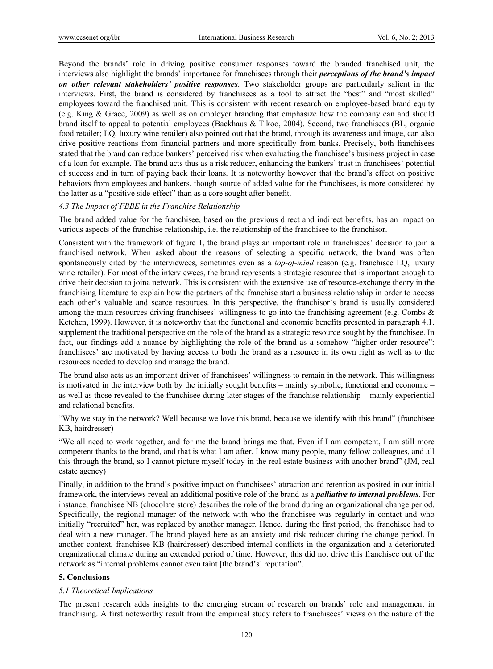Beyond the brands' role in driving positive consumer responses toward the branded franchised unit, the interviews also highlight the brands' importance for franchisees through their *perceptions of the brand's impact on other relevant stakeholders' positive responses*. Two stakeholder groups are particularly salient in the interviews. First, the brand is considered by franchisees as a tool to attract the "best" and "most skilled" employees toward the franchised unit. This is consistent with recent research on employee-based brand equity (e.g. King & Grace, 2009) as well as on employer branding that emphasize how the company can and should brand itself to appeal to potential employees (Backhaus & Tikoo, 2004). Second, two franchisees (BL, organic food retailer; LQ, luxury wine retailer) also pointed out that the brand, through its awareness and image, can also drive positive reactions from financial partners and more specifically from banks. Precisely, both franchisees stated that the brand can reduce bankers' perceived risk when evaluating the franchisee's business project in case of a loan for example. The brand acts thus as a risk reducer, enhancing the bankers' trust in franchisees' potential of success and in turn of paying back their loans. It is noteworthy however that the brand's effect on positive behaviors from employees and bankers, though source of added value for the franchisees, is more considered by the latter as a "positive side-effect" than as a core sought after benefit.

## *4.3 The Impact of FBBE in the Franchise Relationship*

The brand added value for the franchisee, based on the previous direct and indirect benefits, has an impact on various aspects of the franchise relationship, i.e. the relationship of the franchisee to the franchisor.

Consistent with the framework of figure 1, the brand plays an important role in franchisees' decision to join a franchised network. When asked about the reasons of selecting a specific network, the brand was often spontaneously cited by the interviewees, sometimes even as a *top-of-mind* reason (e.g. franchisee LQ, luxury wine retailer). For most of the interviewees, the brand represents a strategic resource that is important enough to drive their decision to joina network. This is consistent with the extensive use of resource-exchange theory in the franchising literature to explain how the partners of the franchise start a business relationship in order to access each other's valuable and scarce resources. In this perspective, the franchisor's brand is usually considered among the main resources driving franchisees' willingness to go into the franchising agreement (e.g. Combs & Ketchen, 1999). However, it is noteworthy that the functional and economic benefits presented in paragraph 4.1. supplement the traditional perspective on the role of the brand as a strategic resource sought by the franchisee. In fact, our findings add a nuance by highlighting the role of the brand as a somehow "higher order resource": franchisees' are motivated by having access to both the brand as a resource in its own right as well as to the resources needed to develop and manage the brand.

The brand also acts as an important driver of franchisees' willingness to remain in the network. This willingness is motivated in the interview both by the initially sought benefits – mainly symbolic, functional and economic – as well as those revealed to the franchisee during later stages of the franchise relationship – mainly experiential and relational benefits.

"Why we stay in the network? Well because we love this brand, because we identify with this brand" (franchisee KB, hairdresser)

"We all need to work together, and for me the brand brings me that. Even if I am competent, I am still more competent thanks to the brand, and that is what I am after. I know many people, many fellow colleagues, and all this through the brand, so I cannot picture myself today in the real estate business with another brand" (JM, real estate agency)

Finally, in addition to the brand's positive impact on franchisees' attraction and retention as posited in our initial framework, the interviews reveal an additional positive role of the brand as a *palliative to internal problems*. For instance, franchisee NB (chocolate store) describes the role of the brand during an organizational change period. Specifically, the regional manager of the network with who the franchisee was regularly in contact and who initially "recruited" her, was replaced by another manager. Hence, during the first period, the franchisee had to deal with a new manager. The brand played here as an anxiety and risk reducer during the change period. In another context, franchisee KB (hairdresser) described internal conflicts in the organization and a deteriorated organizational climate during an extended period of time. However, this did not drive this franchisee out of the network as "internal problems cannot even taint [the brand's] reputation".

## **5. Conclusions**

## *5.1 Theoretical Implications*

The present research adds insights to the emerging stream of research on brands' role and management in franchising. A first noteworthy result from the empirical study refers to franchisees' views on the nature of the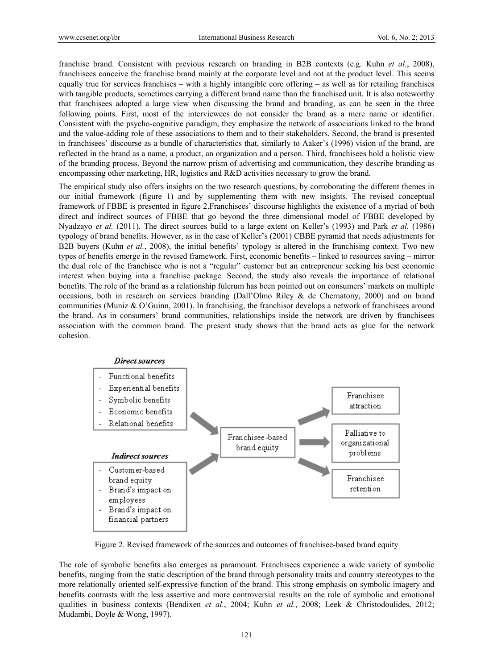franchise brand. Consistent with previous research on branding in B2B contexts (e.g. Kuhn *et al.*, 2008), franchisees conceive the franchise brand mainly at the corporate level and not at the product level. This seems equally true for services franchises – with a highly intangible core offering – as well as for retailing franchises with tangible products, sometimes carrying a different brand name than the franchised unit. It is also noteworthy that franchisees adopted a large view when discussing the brand and branding, as can be seen in the three following points. First, most of the interviewees do not consider the brand as a mere name or identifier. Consistent with the psycho-cognitive paradigm, they emphasize the network of associations linked to the brand and the value-adding role of these associations to them and to their stakeholders. Second, the brand is presented in franchisees' discourse as a bundle of characteristics that, similarly to Aaker's (1996) vision of the brand, are reflected in the brand as a name, a product, an organization and a person. Third, franchisees hold a holistic view of the branding process. Beyond the narrow prism of advertising and communication, they describe branding as encompassing other marketing, HR, logistics and R&D activities necessary to grow the brand.

The empirical study also offers insights on the two research questions, by corroborating the different themes in our initial framework (figure 1) and by supplementing them with new insights. The revised conceptual framework of FBBE is presented in figure 2.Franchisees' discourse highlights the existence of a myriad of both direct and indirect sources of FBBE that go beyond the three dimensional model of FBBE developed by Nyadzayo *et al.* (2011). The direct sources build to a large extent on Keller's (1993) and Park *et al.* (1986) typology of brand benefits. However, as in the case of Keller's (2001) CBBE pyramid that needs adjustments for B2B buyers (Kuhn *et al.*, 2008), the initial benefits' typology is altered in the franchising context. Two new types of benefits emerge in the revised framework. First, economic benefits – linked to resources saving – mirror the dual role of the franchisee who is not a "regular" customer but an entrepreneur seeking his best economic interest when buying into a franchise package. Second, the study also reveals the importance of relational benefits. The role of the brand as a relationship fulcrum has been pointed out on consumers' markets on multiple occasions, both in research on services branding (Dall'Olmo Riley & de Chernatony, 2000) and on brand communities (Muniz & O'Guinn, 2001). In franchising, the franchisor develops a network of franchisees around the brand. As in consumers' brand communities, relationships inside the network are driven by franchisees association with the common brand. The present study shows that the brand acts as glue for the network cohesion.



Figure 2. Revised framework of the sources and outcomes of franchisee-based brand equity

The role of symbolic benefits also emerges as paramount. Franchisees experience a wide variety of symbolic benefits, ranging from the static description of the brand through personality traits and country stereotypes to the more relationally oriented self-expressive function of the brand. This strong emphasis on symbolic imagery and benefits contrasts with the less assertive and more controversial results on the role of symbolic and emotional qualities in business contexts (Bendixen *et al.*, 2004; Kuhn *et al.*, 2008; Leek & Christodoulides, 2012; Mudambi, Doyle & Wong, 1997).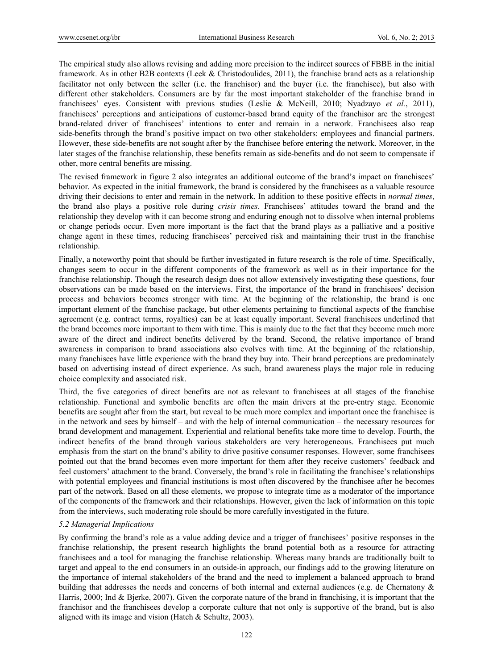The empirical study also allows revising and adding more precision to the indirect sources of FBBE in the initial framework. As in other B2B contexts (Leek & Christodoulides, 2011), the franchise brand acts as a relationship facilitator not only between the seller (i.e. the franchisor) and the buyer (i.e. the franchisee), but also with different other stakeholders. Consumers are by far the most important stakeholder of the franchise brand in franchisees' eyes. Consistent with previous studies (Leslie & McNeill, 2010; Nyadzayo *et al.*, 2011), franchisees' perceptions and anticipations of customer-based brand equity of the franchisor are the strongest brand-related driver of franchisees' intentions to enter and remain in a network. Franchisees also reap side-benefits through the brand's positive impact on two other stakeholders: employees and financial partners. However, these side-benefits are not sought after by the franchisee before entering the network. Moreover, in the later stages of the franchise relationship, these benefits remain as side-benefits and do not seem to compensate if other, more central benefits are missing.

The revised framework in figure 2 also integrates an additional outcome of the brand's impact on franchisees' behavior. As expected in the initial framework, the brand is considered by the franchisees as a valuable resource driving their decisions to enter and remain in the network. In addition to these positive effects in *normal times*, the brand also plays a positive role during *crisis times*. Franchisees' attitudes toward the brand and the relationship they develop with it can become strong and enduring enough not to dissolve when internal problems or change periods occur. Even more important is the fact that the brand plays as a palliative and a positive change agent in these times, reducing franchisees' perceived risk and maintaining their trust in the franchise relationship.

Finally, a noteworthy point that should be further investigated in future research is the role of time. Specifically, changes seem to occur in the different components of the framework as well as in their importance for the franchise relationship. Though the research design does not allow extensively investigating these questions, four observations can be made based on the interviews. First, the importance of the brand in franchisees' decision process and behaviors becomes stronger with time. At the beginning of the relationship, the brand is one important element of the franchise package, but other elements pertaining to functional aspects of the franchise agreement (e.g. contract terms, royalties) can be at least equally important. Several franchisees underlined that the brand becomes more important to them with time. This is mainly due to the fact that they become much more aware of the direct and indirect benefits delivered by the brand. Second, the relative importance of brand awareness in comparison to brand associations also evolves with time. At the beginning of the relationship, many franchisees have little experience with the brand they buy into. Their brand perceptions are predominately based on advertising instead of direct experience. As such, brand awareness plays the major role in reducing choice complexity and associated risk.

Third, the five categories of direct benefits are not as relevant to franchisees at all stages of the franchise relationship. Functional and symbolic benefits are often the main drivers at the pre-entry stage. Economic benefits are sought after from the start, but reveal to be much more complex and important once the franchisee is in the network and sees by himself – and with the help of internal communication – the necessary resources for brand development and management. Experiential and relational benefits take more time to develop. Fourth, the indirect benefits of the brand through various stakeholders are very heterogeneous. Franchisees put much emphasis from the start on the brand's ability to drive positive consumer responses. However, some franchisees pointed out that the brand becomes even more important for them after they receive customers' feedback and feel customers' attachment to the brand. Conversely, the brand's role in facilitating the franchisee's relationships with potential employees and financial institutions is most often discovered by the franchisee after he becomes part of the network. Based on all these elements, we propose to integrate time as a moderator of the importance of the components of the framework and their relationships. However, given the lack of information on this topic from the interviews, such moderating role should be more carefully investigated in the future.

## *5.2 Managerial Implications*

By confirming the brand's role as a value adding device and a trigger of franchisees' positive responses in the franchise relationship, the present research highlights the brand potential both as a resource for attracting franchisees and a tool for managing the franchise relationship. Whereas many brands are traditionally built to target and appeal to the end consumers in an outside-in approach, our findings add to the growing literature on the importance of internal stakeholders of the brand and the need to implement a balanced approach to brand building that addresses the needs and concerns of both internal and external audiences (e.g. de Chernatony & Harris, 2000; Ind & Bjerke, 2007). Given the corporate nature of the brand in franchising, it is important that the franchisor and the franchisees develop a corporate culture that not only is supportive of the brand, but is also aligned with its image and vision (Hatch & Schultz, 2003).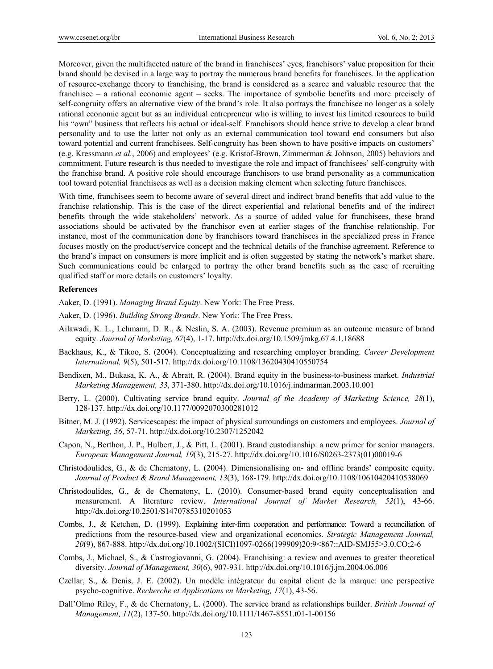Moreover, given the multifaceted nature of the brand in franchisees' eyes, franchisors' value proposition for their brand should be devised in a large way to portray the numerous brand benefits for franchisees. In the application of resource-exchange theory to franchising, the brand is considered as a scarce and valuable resource that the franchisee – a rational economic agent – seeks. The importance of symbolic benefits and more precisely of self-congruity offers an alternative view of the brand's role. It also portrays the franchisee no longer as a solely rational economic agent but as an individual entrepreneur who is willing to invest his limited resources to build his "own" business that reflects his actual or ideal-self. Franchisors should hence strive to develop a clear brand personality and to use the latter not only as an external communication tool toward end consumers but also toward potential and current franchisees. Self-congruity has been shown to have positive impacts on customers' (e.g. Kressmann *et al.*, 2006) and employees' (e.g. Kristof-Brown, Zimmerman & Johnson, 2005) behaviors and commitment. Future research is thus needed to investigate the role and impact of franchisees' self-congruity with the franchise brand. A positive role should encourage franchisors to use brand personality as a communication tool toward potential franchisees as well as a decision making element when selecting future franchisees.

With time, franchisees seem to become aware of several direct and indirect brand benefits that add value to the franchise relationship. This is the case of the direct experiential and relational benefits and of the indirect benefits through the wide stakeholders' network. As a source of added value for franchisees, these brand associations should be activated by the franchisor even at earlier stages of the franchise relationship. For instance, most of the communication done by franchisors toward franchisees in the specialized press in France focuses mostly on the product/service concept and the technical details of the franchise agreement. Reference to the brand's impact on consumers is more implicit and is often suggested by stating the network's market share. Such communications could be enlarged to portray the other brand benefits such as the ease of recruiting qualified staff or more details on customers' loyalty.

## **References**

Aaker, D. (1991). *Managing Brand Equity*. New York: The Free Press.

- Aaker, D. (1996). *Building Strong Brands*. New York: The Free Press.
- Ailawadi, K. L., Lehmann, D. R., & Neslin, S. A. (2003). Revenue premium as an outcome measure of brand equity. *Journal of Marketing, 67*(4), 1-17. http://dx.doi.org/10.1509/jmkg.67.4.1.18688
- Backhaus, K., & Tikoo, S. (2004). Conceptualizing and researching employer branding. *Career Development International, 9*(5), 501-517. http://dx.doi.org/10.1108/13620430410550754
- Bendixen, M., Bukasa, K. A., & Abratt, R. (2004). Brand equity in the business-to-business market. *Industrial Marketing Management, 33*, 371-380. http://dx.doi.org/10.1016/j.indmarman.2003.10.001
- Berry, L. (2000). Cultivating service brand equity. *Journal of the Academy of Marketing Science, 28*(1), 128-137. http://dx.doi.org/10.1177/0092070300281012
- Bitner, M. J. (1992). Servicescapes: the impact of physical surroundings on customers and employees. *Journal of Marketing, 56*, 57-71. http://dx.doi.org/10.2307/1252042
- Capon, N., Berthon, J. P., Hulbert, J., & Pitt, L. (2001). Brand custodianship: a new primer for senior managers. *European Management Journal, 19*(3), 215-27. http://dx.doi.org/10.1016/S0263-2373(01)00019-6
- Christodoulides, G., & de Chernatony, L. (2004). Dimensionalising on- and offline brands' composite equity. *Journal of Product & Brand Management, 13*(3), 168-179. http://dx.doi.org/10.1108/10610420410538069
- Christodoulides, G., & de Chernatony, L. (2010). Consumer-based brand equity conceptualisation and measurement. A literature review. *International Journal of Market Research, 52*(1), 43-66. http://dx.doi.org/10.2501/S1470785310201053
- Combs, J., & Ketchen, D. (1999). Explaining inter-firm cooperation and performance: Toward a reconciliation of predictions from the resource-based view and organizational economics. *Strategic Management Journal, 20*(9), 867-888. http://dx.doi.org/10.1002/(SICI)1097-0266(199909)20:9<867::AID-SMJ55>3.0.CO;2-6
- Combs, J., Michael, S., & Castrogiovanni, G. (2004). Franchising: a review and avenues to greater theoretical diversity. *Journal of Management, 30*(6), 907-931. http://dx.doi.org/10.1016/j.jm.2004.06.006
- Czellar, S., & Denis, J. E. (2002). Un modèle intégrateur du capital client de la marque: une perspective psycho-cognitive. *Recherche et Applications en Marketing, 17*(1), 43-56.
- Dall'Olmo Riley, F., & de Chernatony, L. (2000). The service brand as relationships builder. *British Journal of Management, 11*(2), 137-50. http://dx.doi.org/10.1111/1467-8551.t01-1-00156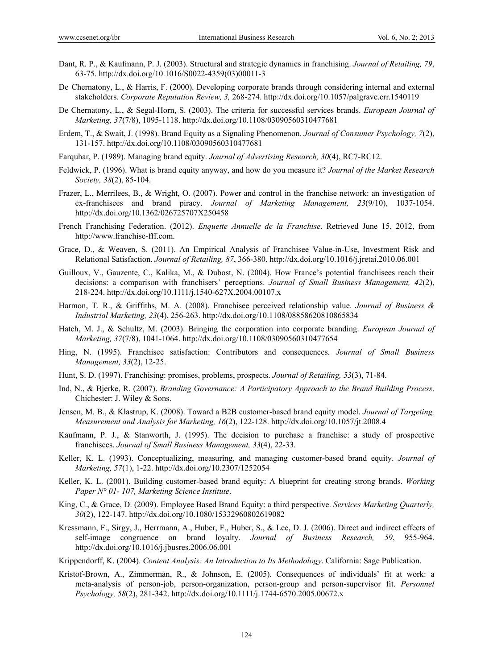- Dant, R. P., & Kaufmann, P. J. (2003). Structural and strategic dynamics in franchising. *Journal of Retailing, 79*, 63-75. http://dx.doi.org/10.1016/S0022-4359(03)00011-3
- De Chernatony, L., & Harris, F. (2000). Developing corporate brands through considering internal and external stakeholders. *Corporate Reputation Review, 3,* 268-274. http://dx.doi.org/10.1057/palgrave.crr.1540119
- De Chernatony, L., & Segal-Horn, S. (2003). The criteria for successful services brands. *European Journal of Marketing, 37*(7/8), 1095-1118. http://dx.doi.org/10.1108/03090560310477681
- Erdem, T., & Swait, J. (1998). Brand Equity as a Signaling Phenomenon. *Journal of Consumer Psychology, 7*(2), 131-157. http://dx.doi.org/10.1108/03090560310477681
- Farquhar, P. (1989). Managing brand equity. *Journal of Advertising Research, 30*(4), RC7-RC12.
- Feldwick, P. (1996). What is brand equity anyway, and how do you measure it? *Journal of the Market Research Society, 38*(2), 85-104.
- Frazer, L., Merrilees, B., & Wright, O. (2007). Power and control in the franchise network: an investigation of ex-franchisees and brand piracy. *Journal of Marketing Management, 23*(9/10), 1037-1054. http://dx.doi.org/10.1362/026725707X250458
- French Franchising Federation. (2012). *Enquette Annuelle de la Franchise*. Retrieved June 15, 2012, from http://www.franchise-fff.com.
- Grace, D., & Weaven, S. (2011). An Empirical Analysis of Franchisee Value-in-Use, Investment Risk and Relational Satisfaction. *Journal of Retailing, 87*, 366-380. http://dx.doi.org/10.1016/j.jretai.2010.06.001
- Guilloux, V., Gauzente, C., Kalika, M., & Dubost, N. (2004). How France's potential franchisees reach their decisions: a comparison with franchisers' perceptions. *Journal of Small Business Management, 42*(2), 218-224. http://dx.doi.org/10.1111/j.1540-627X.2004.00107.x
- Harmon, T. R., & Griffiths, M. A. (2008). Franchisee perceived relationship value. *Journal of Business & Industrial Marketing, 23*(4), 256-263. http://dx.doi.org/10.1108/08858620810865834
- Hatch, M. J., & Schultz, M. (2003). Bringing the corporation into corporate branding. *European Journal of Marketing, 37*(7/8), 1041-1064. http://dx.doi.org/10.1108/03090560310477654
- Hing, N. (1995). Franchisee satisfaction: Contributors and consequences. *Journal of Small Business Management, 33*(2), 12-25.
- Hunt, S. D. (1997). Franchising: promises, problems, prospects. *Journal of Retailing, 53*(3), 71-84.
- Ind, N., & Bjerke, R. (2007). *Branding Governance: A Participatory Approach to the Brand Building Process*. Chichester: J. Wiley & Sons.
- Jensen, M. B., & Klastrup, K. (2008). Toward a B2B customer-based brand equity model. *Journal of Targeting, Measurement and Analysis for Marketing, 16*(2), 122-128. http://dx.doi.org/10.1057/jt.2008.4
- Kaufmann, P. J., & Stanworth, J. (1995). The decision to purchase a franchise: a study of prospective franchisees. *Journal of Small Business Management, 33*(4), 22-33.
- Keller, K. L. (1993). Conceptualizing, measuring, and managing customer-based brand equity. *Journal of Marketing, 57*(1), 1-22. http://dx.doi.org/10.2307/1252054
- Keller, K. L. (2001). Building customer-based brand equity: A blueprint for creating strong brands. *Working Paper N° 01- 107, Marketing Science Institute*.
- King, C., & Grace, D. (2009). Employee Based Brand Equity: a third perspective. *Services Marketing Quarterly, 30*(2), 122-147. http://dx.doi.org/10.1080/15332960802619082
- Kressmann, F., Sirgy, J., Herrmann, A., Huber, F., Huber, S., & Lee, D. J. (2006). Direct and indirect effects of self-image congruence on brand loyalty. *Journal of Business Research, 59*, 955-964. http://dx.doi.org/10.1016/j.jbusres.2006.06.001
- Krippendorff, K. (2004). *Content Analysis: An Introduction to Its Methodology*. California: Sage Publication.
- Kristof-Brown, A., Zimmerman, R., & Johnson, E. (2005). Consequences of individuals' fit at work: a meta-analysis of person-job, person-organization, person-group and person-supervisor fit. *Personnel Psychology, 58*(2), 281-342. http://dx.doi.org/10.1111/j.1744-6570.2005.00672.x